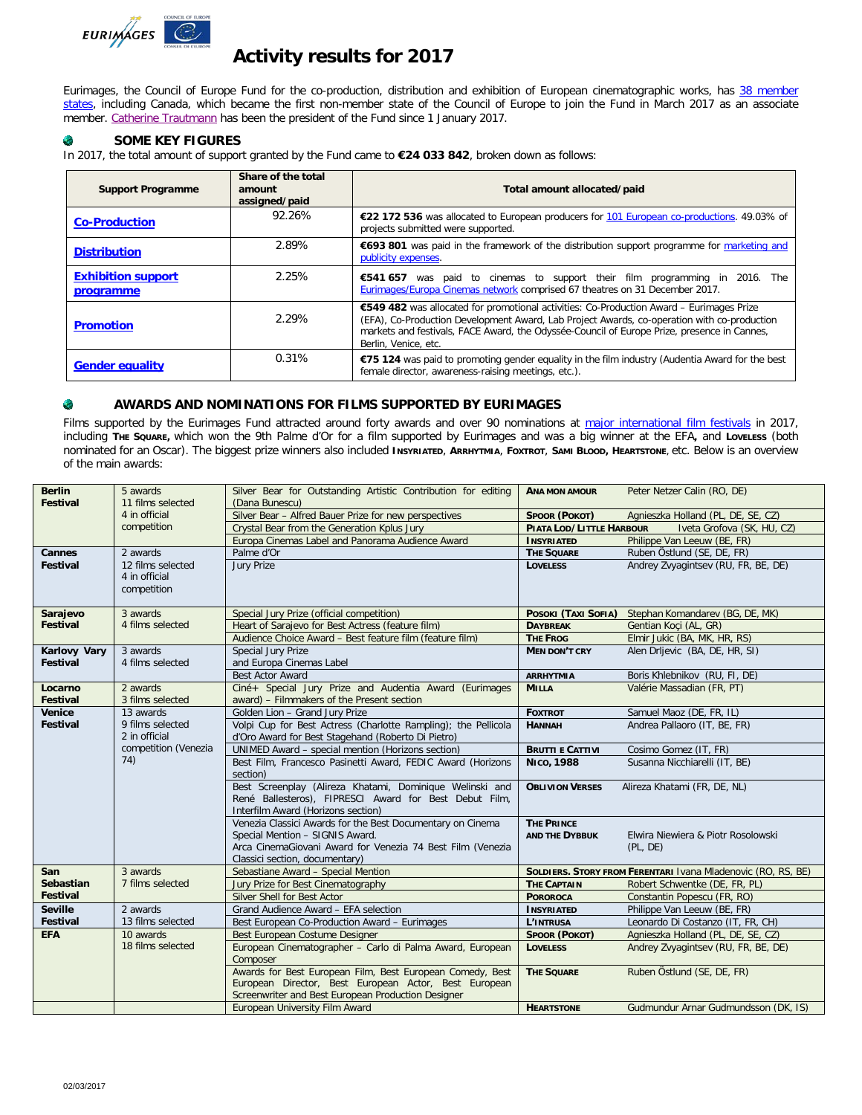

# **Activity results for 2017**

Eurimages, the Council of Europe Fund for the co-production, distribution and exhibition of European cinematographic works, has 38 member [states,](https://www.coe.int/en/web/eurimages/board-of-management) including Canada, which became the first non-member state of the Council of Europe to join the Fund in March 2017 as an associate member. [Catherine Trautmann](https://www.coe.int/en/web/eurimages/presidency) has been the president of the Fund since 1 January 2017.

#### ۰ **SOME KEY FIGURES**

In 2017, the total amount of support granted by the Fund came to **€24 033 842**, broken down as follows:

| <b>Support Programme</b>               | Share of the total<br>amount<br>assigned/paid | Total amount allocated/paid                                                                                                                                                                                                                                                                                    |
|----------------------------------------|-----------------------------------------------|----------------------------------------------------------------------------------------------------------------------------------------------------------------------------------------------------------------------------------------------------------------------------------------------------------------|
| <b>Co-Production</b>                   | 92.26%                                        | €22 172 536 was allocated to European producers for 101 European co-productions. 49.03% of<br>projects submitted were supported.                                                                                                                                                                               |
| <b>Distribution</b>                    | 2.89%                                         | €693 801 was paid in the framework of the distribution support programme for marketing and<br>publicity expenses.                                                                                                                                                                                              |
| <b>Exhibition support</b><br>programme | 2.25%                                         | €541 657 was paid to cinemas to support their film programming in 2016. The<br>Eurimages/Europa Cinemas network comprised 67 theatres on 31 December 2017.                                                                                                                                                     |
| <b>Promotion</b>                       | 2.29%                                         | €549 482 was allocated for promotional activities: Co-Production Award – Eurimages Prize<br>(EFA), Co-Production Development Award, Lab Project Awards, co-operation with co-production<br>markets and festivals, FACE Award, the Odyssée-Council of Europe Prize, presence in Cannes,<br>Berlin, Venice, etc. |
| <b>Gender equality</b>                 | 0.31%                                         | €75 124 was paid to promoting gender equality in the film industry (Audentia Award for the best<br>female director, awareness-raising meetings, etc.).                                                                                                                                                         |

#### ۰ **AWARDS AND NOMINATIONS FOR FILMS SUPPORTED BY EURIMAGES**

Films supported by the Eurimages Fund attracted around forty awards and over 90 nominations at [major international film festivals](https://www.coe.int/en/web/eurimages/eurimages-prize-list) in 2017, including **THE SQUARE,** which won the 9th Palme d'Or for a film supported by Eurimages and was a big winner at the EFA**,** and **LOVELESS** (both nominated for an Oscar). The biggest prize winners also included **INSYRIATED**, **ARRHYTMIA**, **FOXTROT**, **SAMI BLOOD, HEARTSTONE**, etc. Below is an overview of the main awards:

| <b>Berlin</b><br><b>Festival</b> | 5 awards<br>11 films selected     | Silver Bear for Outstanding Artistic Contribution for editing<br>(Dana Bunescu)                                                                                                               | <b>ANA MON AMOUR</b>                       | Peter Netzer Calin (RO, DE)                                  |
|----------------------------------|-----------------------------------|-----------------------------------------------------------------------------------------------------------------------------------------------------------------------------------------------|--------------------------------------------|--------------------------------------------------------------|
|                                  | 4 in official                     | Silver Bear - Alfred Bauer Prize for new perspectives                                                                                                                                         | <b>SPOOR (POKOT)</b>                       | Agnieszka Holland (PL, DE, SE, CZ)                           |
|                                  | competition                       | Crystal Bear from the Generation Kplus Jury                                                                                                                                                   | PIATA LOD/LITTLE HARBOUR                   | Iveta Grofova (SK, HU, CZ)                                   |
|                                  |                                   | Europa Cinemas Label and Panorama Audience Award                                                                                                                                              | <b>INSYRIATED</b>                          | Philippe Van Leeuw (BE, FR)                                  |
| Cannes                           | 2 awards                          | Palme d'Or                                                                                                                                                                                    | <b>THE SQUARE</b>                          | Ruben Östlund (SE, DE, FR)                                   |
| Festival                         | 12 films selected                 | <b>Jury Prize</b>                                                                                                                                                                             | <b>LOVELESS</b>                            | Andrey Zvyagintsev (RU, FR, BE, DE)                          |
|                                  | 4 in official<br>competition      |                                                                                                                                                                                               |                                            |                                                              |
| Sarajevo                         | 3 awards                          | Special Jury Prize (official competition)                                                                                                                                                     | POSOKI (TAXI SOFIA)                        | Stephan Komandarev (BG, DE, MK)                              |
| <b>Festival</b>                  | 4 films selected                  | Heart of Sarajevo for Best Actress (feature film)                                                                                                                                             | <b>DAYBREAK</b>                            | Gentian Koçi (AL, GR)                                        |
|                                  |                                   | Audience Choice Award - Best feature film (feature film)                                                                                                                                      | <b>THE FROG</b>                            | Elmir Jukic (BA, MK, HR, RS)                                 |
| <b>Karlovy Vary</b>              | 3 awards                          | Special Jury Prize                                                                                                                                                                            | <b>MEN DON'T CRY</b>                       | Alen Drijevic (BA, DE, HR, SI)                               |
| <b>Festival</b>                  | 4 films selected                  | and Europa Cinemas Label                                                                                                                                                                      |                                            |                                                              |
|                                  |                                   | Best Actor Award                                                                                                                                                                              | <b>ARRHYTMIA</b>                           | Boris Khlebnikov (RU, FI, DE)                                |
| Locarno                          | 2 awards                          | Ciné+ Special Jury Prize and Audentia Award (Eurimages                                                                                                                                        | <b>MILLA</b>                               | Valérie Massadian (FR, PT)                                   |
| <b>Festival</b>                  | 3 films selected                  | award) - Filmmakers of the Present section                                                                                                                                                    |                                            |                                                              |
| Venice                           | 13 awards                         | Golden Lion - Grand Jury Prize                                                                                                                                                                | <b>FOXTROT</b>                             | Samuel Maoz (DE, FR, IL)                                     |
| Festival                         | 9 films selected<br>2 in official | Volpi Cup for Best Actress (Charlotte Rampling); the Pellicola<br>d'Oro Award for Best Stagehand (Roberto Di Pietro)                                                                          | <b>HANNAH</b>                              | Andrea Pallaoro (IT, BE, FR)                                 |
|                                  | competition (Venezia              | UNIMED Award - special mention (Horizons section)                                                                                                                                             | <b>BRUTTI E CATTIVI</b>                    | Cosimo Gomez (IT, FR)                                        |
|                                  | 74)                               | Best Film, Francesco Pasinetti Award, FEDIC Award (Horizons<br>section)                                                                                                                       | Nico, 1988                                 | Susanna Nicchiarelli (IT, BE)                                |
|                                  |                                   | Best Screenplay (Alireza Khatami, Dominique Welinski and<br>René Ballesteros), FIPRESCI Award for Best Debut Film,<br>Interfilm Award (Horizons section)                                      | <b>OBLIVION VERSES</b>                     | Alireza Khatami (FR, DE, NL)                                 |
|                                  |                                   | Venezia Classici Awards for the Best Documentary on Cinema<br>Special Mention - SIGNIS Award.<br>Arca CinemaGiovani Award for Venezia 74 Best Film (Venezia<br>Classici section, documentary) | <b>THE PRINCE</b><br><b>AND THE DYBBUK</b> | Elwira Niewiera & Piotr Rosolowski<br>(PL, DE)               |
| San                              | 3 awards                          | Sebastiane Award - Special Mention                                                                                                                                                            |                                            | SOLDIERS. STORY FROM FERENTARI Ivana Mladenovic (RO, RS, BE) |
| <b>Sebastian</b>                 | 7 films selected                  | Jury Prize for Best Cinematography                                                                                                                                                            | <b>THE CAPTAIN</b>                         | Robert Schwentke (DE, FR, PL)                                |
| <b>Festival</b>                  |                                   | Silver Shell for Best Actor                                                                                                                                                                   | <b>POROROCA</b>                            | Constantin Popescu (FR, RO)                                  |
| <b>Seville</b>                   | 2 awards                          | Grand Audience Award - EFA selection                                                                                                                                                          | <b>INSYRIATED</b>                          | Philippe Van Leeuw (BE, FR)                                  |
| Festival                         | 13 films selected                 | Best European Co-Production Award - Eurimages                                                                                                                                                 | L'INTRUSA                                  | Leonardo Di Costanzo (IT, FR, CH)                            |
| <b>EFA</b>                       | 10 awards                         | Best European Costume Designer                                                                                                                                                                | <b>SPOOR (POKOT)</b>                       | Agnieszka Holland (PL, DE, SE, CZ)                           |
|                                  | 18 films selected                 | European Cinematographer - Carlo di Palma Award, European<br>Composer                                                                                                                         | <b>LOVELESS</b>                            | Andrey Zvyagintsev (RU, FR, BE, DE)                          |
|                                  |                                   | Awards for Best European Film, Best European Comedy, Best<br>European Director, Best European Actor, Best European<br>Screenwriter and Best European Production Designer                      | <b>THE SQUARE</b>                          | Ruben Östlund (SE, DE, FR)                                   |
|                                  |                                   | European University Film Award                                                                                                                                                                | <b>HEARTSTONE</b>                          | Gudmundur Arnar Gudmundsson (DK, IS)                         |